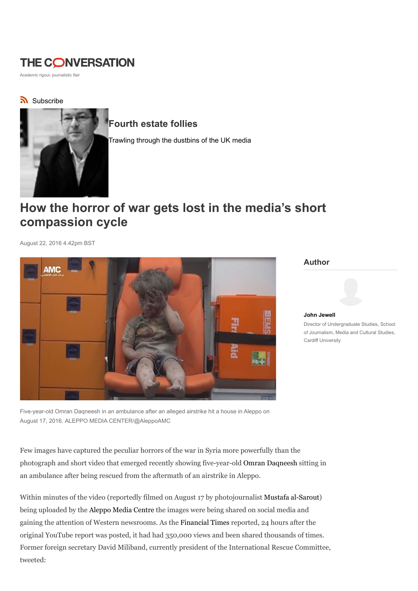## **THE CONVERSATION**

Academic rigour, journalistic flair

## Subscribe



## Fourth estate follies

Trawling through the dustbins of the UK media

# How the horror of war gets lost in the media's short compassion cycle

August 22, 2016 4.42pm BST



#### Author

John Jewell Director of Undergraduate Studies, School of Journalism, Media and Cultural Studies, Cardiff University

Five-year-old Omran Daqneesh in an ambulance after an alleged airstrike hit a house in Aleppo on August 17, 2016. ALEPPO MEDIA CENTER/@AleppoAMC

Few images have captured the peculiar horrors of the war in Syria more powerfully than the photograph and short video that emerged recently showing five-year-old Omran Daqneesh sitting in an ambulance after being rescued from the aftermath of an airstrike in Aleppo.

Within minutes of the video (reportedly filmed on August 17 by photojournalist Mustafa al-Sarout) being uploaded by the Aleppo Media Centre the images were being shared on social media and gaining the attention of Western newsrooms. As the Financial Times reported, 24 hours after the original YouTube report was posted, it had had 350,000 views and been shared thousands of times. Former foreign secretary David Miliband, currently president of the International Rescue Committee, tweeted: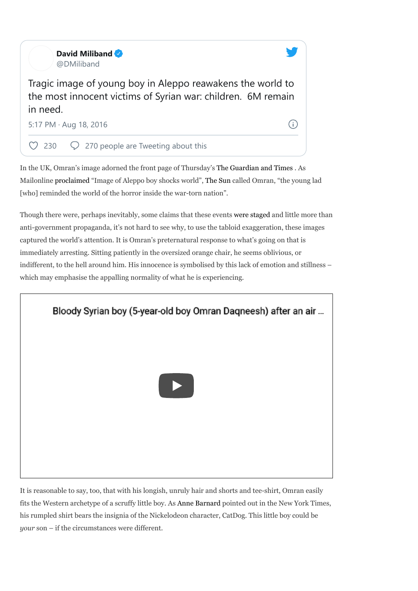

In the UK, Omran's image adorned the front page of Thursday's The Guardian and Times . As Mailonline proclaimed "Image of Aleppo boy shocks world", The Sun called Omran, "the young lad [who] reminded the world of the horror inside the war-torn nation".

Though there were, perhaps inevitably, some claims that these events were staged and little more than anti-government propaganda, it's not hard to see why, to use the tabloid exaggeration, these images captured the world's attention. It is Omran's preternatural response to what's going on that is immediately arresting. Sitting patiently in the oversized orange chair, he seems oblivious, or indifferent, to the hell around him. His innocence is symbolised by this lack of emotion and stillness – which may emphasise the appalling normality of what he is experiencing.



It is reasonable to say, too, that with his longish, unruly hair and shorts and tee-shirt, Omran easily fits the Western archetype of a scruffy little boy. As Anne Barnard pointed out in the New York Times, his rumpled shirt bears the insignia of the Nickelodeon character, CatDog. This little boy could be your son – if the circumstances were different.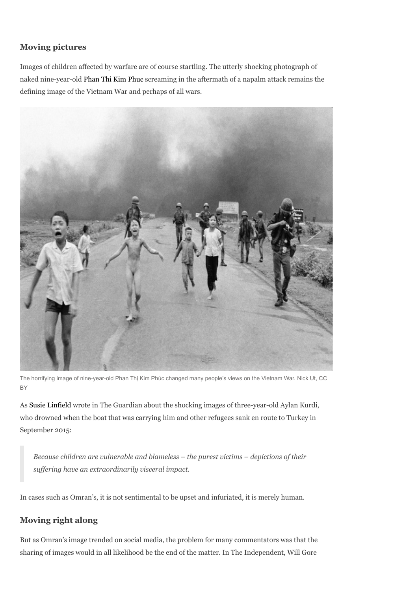## Moving pictures

Images of children affected by warfare are of course startling. The utterly shocking photograph of naked nine-year-old Phan Thi Kim Phuc screaming in the aftermath of a napalm attack remains the defining image of the Vietnam War and perhaps of all wars.



The horrifying image of nine-year-old Phan Thị Kim Phúc changed many people's views on the Vietnam War. Nick Ut, CC BY

As Susie Linfield wrote in The Guardian about the shocking images of three-year-old Aylan Kurdi, who drowned when the boat that was carrying him and other refugees sank en route to Turkey in September 2015:

Because children are vulnerable and blameless – the purest victims – depictions of their suffering have an extraordinarily visceral impact.

In cases such as Omran's, it is not sentimental to be upset and infuriated, it is merely human.

## Moving right along

But as Omran's image trended on social media, the problem for many commentators was that the sharing of images would in all likelihood be the end of the matter. In The Independent, Will Gore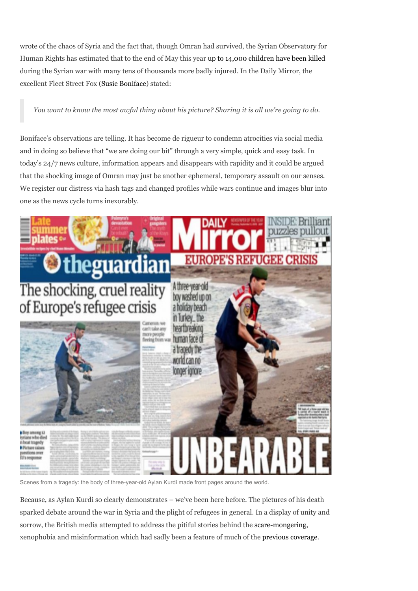wrote of the chaos of Syria and the fact that, though Omran had survived, the Syrian Observatory for Human Rights has estimated that to the end of May this year up to 14,000 children have been killed during the Syrian war with many tens of thousands more badly injured. In the Daily Mirror, the excellent Fleet Street Fox (Susie Boniface) stated:

You want to know the most awful thing about his picture? Sharing it is all we're going to do.

Boniface's observations are telling. It has become de rigueur to condemn atrocities via social media and in doing so believe that "we are doing our bit" through a very simple, quick and easy task. In today's 24/7 news culture, information appears and disappears with rapidity and it could be argued that the shocking image of Omran may just be another ephemeral, temporary assault on our senses. We register our distress via hash tags and changed profiles while wars continue and images blur into one as the news cycle turns inexorably.



Scenes from a tragedy: the body of three-year-old Aylan Kurdi made front pages around the world.

Because, as Aylan Kurdi so clearly demonstrates – we've been here before. The pictures of his death sparked debate around the war in Syria and the plight of refugees in general. In a display of unity and sorrow, the British media attempted to address the pitiful stories behind the scare-mongering, xenophobia and misinformation which had sadly been a feature of much of the previous coverage.